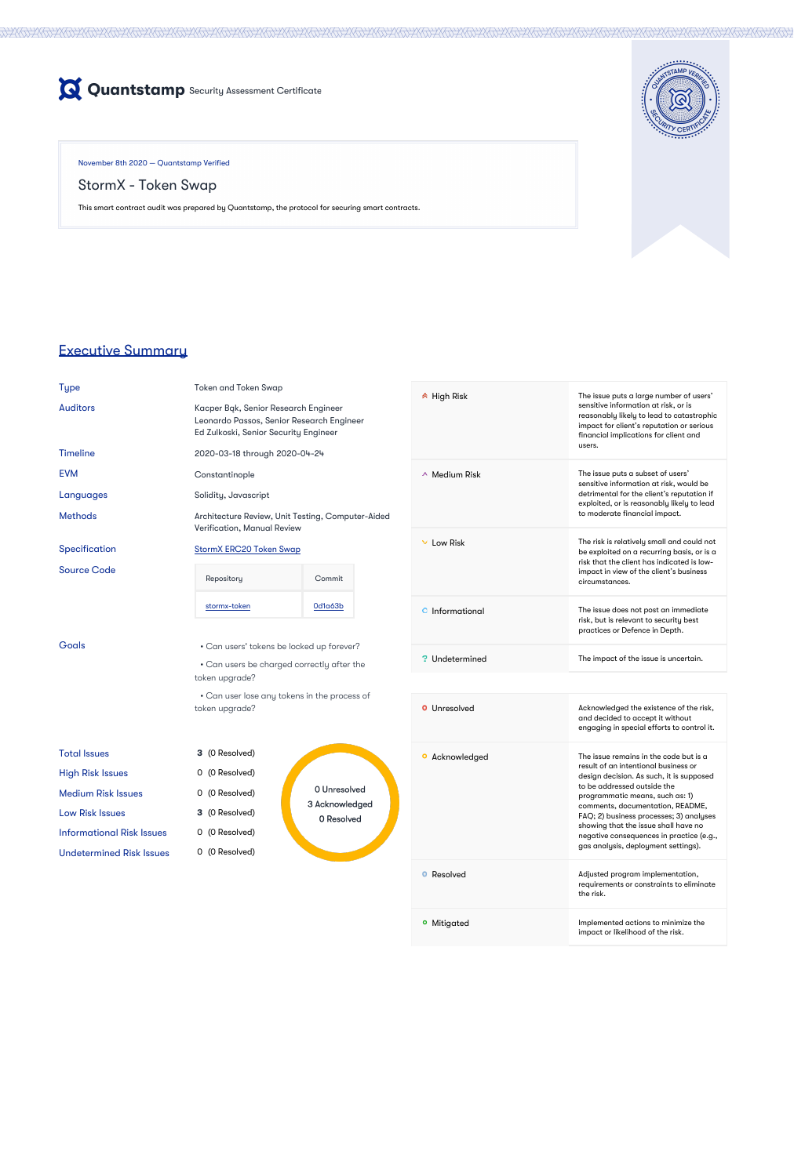

November 8th 2020 — Quantstamp Verified

StormX - Token Swap

This smart contract audit was prepared by Quantstamp, the protocol for securing smart contracts.



Auditors Kacper Bąk, Senior Research Engineer Leonardo Passos, Senior Research Engineer Ed Zulkoski, Senior Security Engineer

# Executive Summary

Type Token and Token Swap

Methods **Architecture Review, Unit Testing, Computer-Aided** Verification, Manual Review

### Specification [StormX ERC20 Token Swap](https://quantstamp.atlassian.net/wiki/spaces/QUAN/pages/462716957/StormX+ERC20+Token+Swap)

### Timeline 2020-03-18 through 2020-04-24

EVM Constantinople

Languages Solidity, Javascript

### Source Code

| Foal: |
|-------|
|       |

| Repository   | Commit  |
|--------------|---------|
| stormx-token | Od1a63b |

• Can users' tokens be locked up forever?

Can users be charged correctly after the • token upgrade?

Can user lose any tokens in the process of • token upgrade?

| <b>Total Issues</b>             | <b>3</b> (0 Resolved) |
|---------------------------------|-----------------------|
| <b>High Risk Issues</b>         | 0 (0 Resolved)        |
| Medium Risk Issues              | 0 (0 Resolved)        |
| Low Risk Issues                 | <b>3</b> (0 Resolved) |
| Informational Risk Issues       | 0 (0 Resolved)        |
| <b>Undetermined Risk Issues</b> | 0 (0 Resolved)        |

**3** (0 Resolved) 0 (0 Resolved) 0 Unresolved 0 (0 Resolved) 3 Acknowledged 3 (0 Resolved) 0 Resolved es 0 (0 Resolved)

High Risk The issue puts a large number of users' sensitive information at risk, or is reasonably likely to lead to catastrophic impact for client's reputation or serious financial implications for client and

|                       | users.                                                                                                                                                                                                                                                                                                                                                                                                 |
|-----------------------|--------------------------------------------------------------------------------------------------------------------------------------------------------------------------------------------------------------------------------------------------------------------------------------------------------------------------------------------------------------------------------------------------------|
| $\sim$ Medium Risk    | The issue puts a subset of users'<br>sensitive information at risk, would be<br>detrimental for the client's reputation if<br>exploited, or is reasonably likely to lead<br>to moderate financial impact.                                                                                                                                                                                              |
| Low Risk              | The risk is relatively small and could not<br>be exploited on a recurring basis, or is a<br>risk that the client has indicated is low-<br>impact in view of the client's business<br>circumstances.                                                                                                                                                                                                    |
| Informational<br>O    | The issue does not post an immediate<br>risk, but is relevant to security best<br>practices or Defence in Depth.                                                                                                                                                                                                                                                                                       |
| <b>W</b> Undetermined | The impact of the issue is uncertain.                                                                                                                                                                                                                                                                                                                                                                  |
|                       |                                                                                                                                                                                                                                                                                                                                                                                                        |
| Unresolved            | Acknowledged the existence of the risk,<br>and decided to accept it without<br>engaging in special efforts to control it.                                                                                                                                                                                                                                                                              |
| Acknowledged          | The issue remains in the code but is a<br>result of an intentional business or<br>design decision. As such, it is supposed<br>to be addressed outside the<br>programmatic means, such as: 1)<br>comments, documentation, README,<br>FAQ; 2) business processes; 3) analyses<br>showing that the issue shall have no<br>negative consequences in practice (e.g.,<br>gas analysis, deployment settings). |

**O** Resolved **Adjusted program implementation,** 

|                        | requirements or constraints to eliminate<br>the risk.                    |
|------------------------|--------------------------------------------------------------------------|
| <sup>o</sup> Mitigated | Implemented actions to minimize the<br>impact or likelihood of the risk. |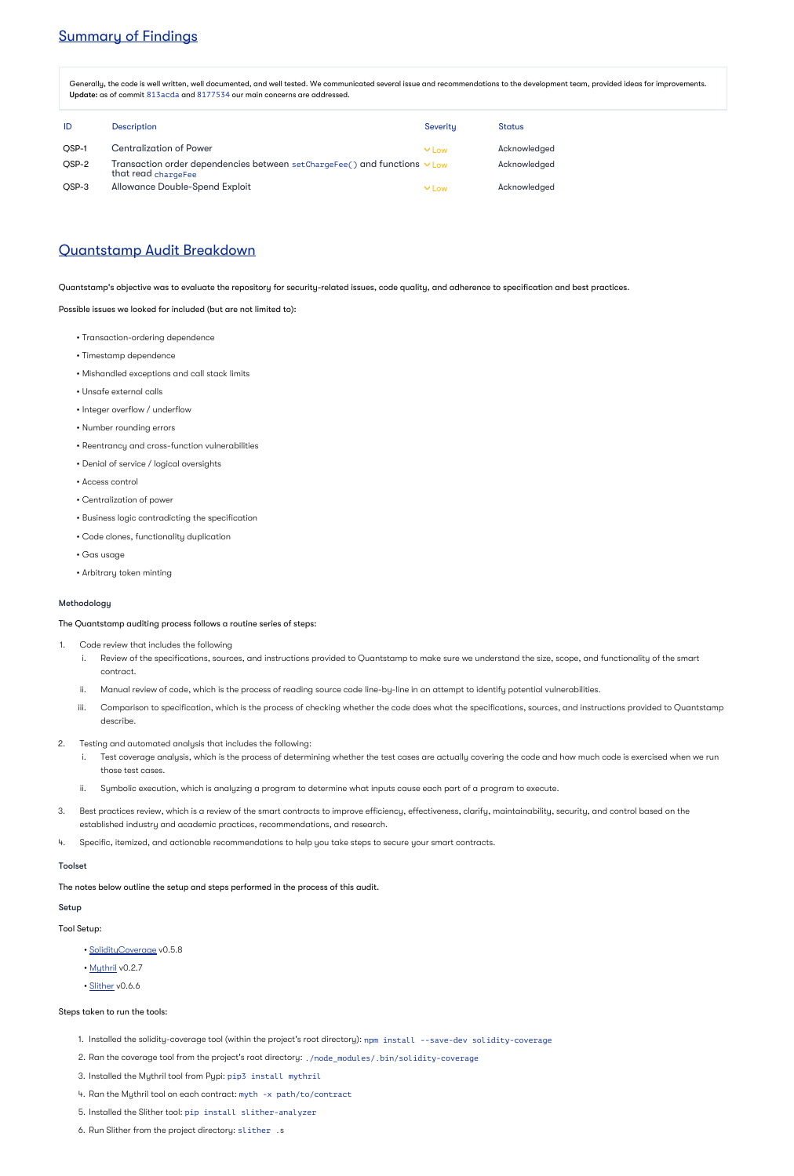# Summary of Findings

Generally, the code is well written, well documented, and well tested. We communicated several issue and recommendations to the development team, provided ideas for improvements. Update: as of commit 813acda and 8177534 our main concerns are addressed.

| ID    | <b>Description</b>                                                                               | Severity   | <b>Status</b> |
|-------|--------------------------------------------------------------------------------------------------|------------|---------------|
| OSP-1 | <b>Centralization of Power</b>                                                                   | $V$ Low    | Acknowledged  |
| OSP-2 | Transaction order dependencies between setChargeFee() and functions v Low<br>that read chargeFee |            | Acknowledged  |
| QSP-3 | <b>Allowance Double-Spend Exploit</b>                                                            | $\vee$ Low | Acknowledged  |

# Quantstamp Audit Breakdown

Quantstamp's objective was to evaluate the repository for security-related issues, code quality, and adherence to specification and best practices.

Possible issues we looked for included (but are not limited to):

- Transaction-ordering dependence
- Timestamp dependence
- Mishandled exceptions and call stack limits
- Unsafe external calls
- Integer overflow / underflow
- Number rounding errors
- Reentrancy and cross-function vulnerabilities
- Denial of service / logical oversights
- Access control
- Centralization of power
- Business logic contradicting the specification
- Code clones, functionality duplication
- Gas usage
- Arbitrary token minting

### Methodology

The Quantstamp auditing process follows a routine series of steps:

- [SolidityCoverage](https://github.com/sc-forks/solidity-coverage) v0.5.8
- [Mythril](https://github.com/ConsenSys/mythril) v0.2.7
- [Slither](https://github.com/crytic/slither) v0.6.6

- 1. Installed the solidity-coverage tool (within the project's root directory): npm install --save-dev solidity-coverage
- 2. Ran the coverage tool from the project's root directory: ./node\_modules/.bin/solidity-coverage
- 3. Installed the Mythril tool from Pypi: pip3 install mythril
- 4. Ran the Mythril tool on each contract: myth -x path/to/contract
- 5. Installed the Slither tool: pip install slither-analyzer
- 6. Run Slither from the project directory: slither .s
- 1. Code review that includes the following
	- i. Review of the specifications, sources, and instructions provided to Quantstamp to make sure we understand the size, scope, and functionality of the smart contract.
	- ii. Manual review of code, which is the process of reading source code line-by-line in an attempt to identify potential vulnerabilities.
	- iii. Comparison to specification, which is the process of checking whether the code does what the specifications, sources, and instructions provided to Quantstamp describe.
- 2. Testing and automated analysis that includes the following:
	- i. Test coverage analysis, which is the process of determining whether the test cases are actually covering the code and how much code is exercised when we run those test cases.
	- ii. Symbolic execution, which is analyzing a program to determine what inputs cause each part of a program to execute.
- 3. Best practices review, which is a review of the smart contracts to improve efficiency, effectiveness, clarify, maintainability, security, and control based on the established industry and academic practices, recommendations, and research.
- 4. Specific, itemized, and actionable recommendations to help you take steps to secure your smart contracts.

### Toolset

The notes below outline the setup and steps performed in the process of this audit.

#### Setup

Tool Setup:

Steps taken to run the tools: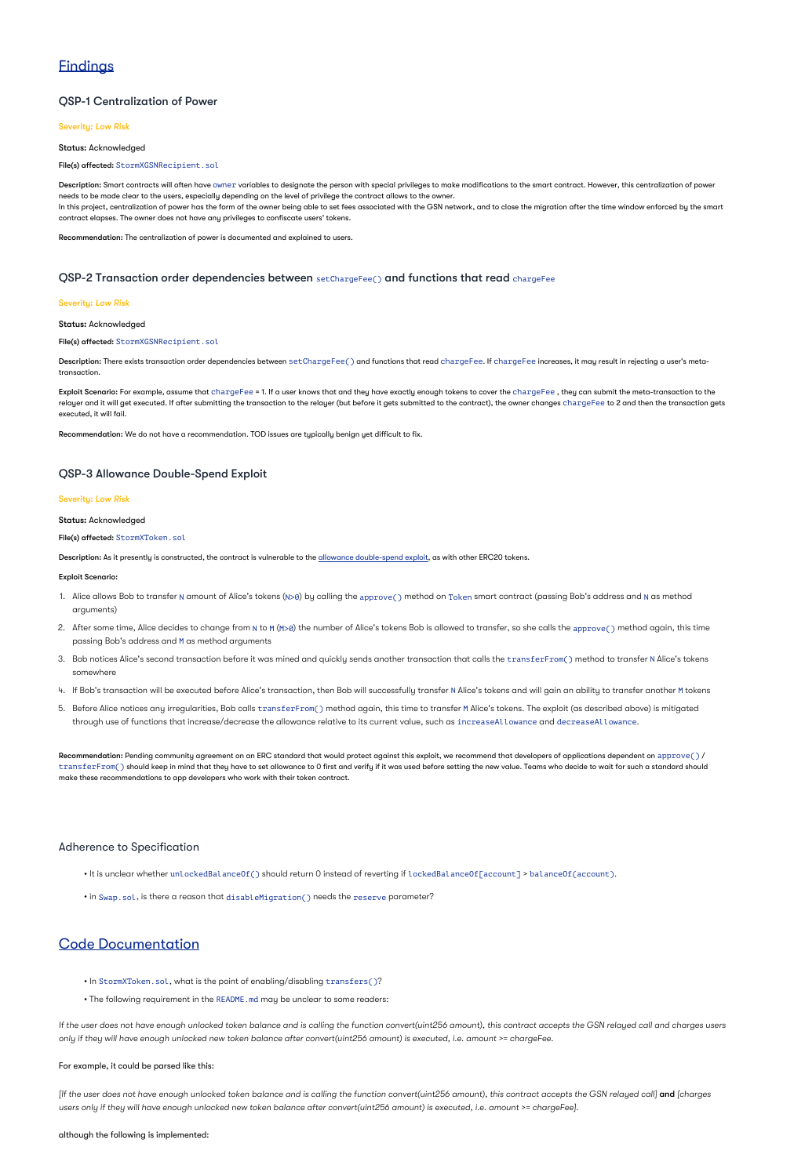# **Findings**

### QSP-1 Centralization of Power

### Severity: *Low Risk*

Status: Acknowledged

### File(s) affected: StormXGSNRecipient.sol

**Description:** Smart contracts will often have owner variables to designate the person with special privileges to make modifications to the smart contract. However, this centralization of power needs to be made clear to the users, especially depending on the level of privilege the contract allows to the owner. In this project, centralization of power has the form of the owner being able to set fees associated with the GSN network, and to close the migration after the time window enforced by the smart contract elapses. The owner does not have any privileges to confiscate users' tokens.

 $\sf{Description:}$  There exists transaction order dependencies between  $\verb|setChangeFe()|$  and functions that read  $\verb|chargeFee|.$  If  $\verb|chargeFee$  increases, it may result in rejecting a user's metatransaction.

Recommendation: The centralization of power is documented and explained to users.

**Exploit Scenario:** For example, assume that chargeFee = 1. If a user knows that and they have exactly enough tokens to cover the chargeFee , they can submit the meta-transaction to the relayer and it will get executed. If after submitting the transaction to the relayer (but before it gets submitted to the contract), the owner changes <code>chargeFee</code> to 2 and then the transaction gets executed, it will fail.

### QSP-2 Transaction order dependencies between setChargeFee() and functions that read chargeFee

### Severity: *Low Risk*

### Status: Acknowledged

File(s) affected: StormXGSNRecipient.sol

Recommendation: We do not have a recommendation. TOD issues are typically benign yet difficult to fix.

### QSP-3 Allowance Double-Spend Exploit

 $\sf Recommendation:$  Pending community agreement on an ERC standard that would protect against this exploit, we recommend that developers of applications dependent on  $\sf{approve}()$  / <code>transferFrom()</code> should keep in mind that they have to set allowance to 0 first and verify if it was used before setting the new value. Teams who decide to wait for such a standard should make these recommendations to app developers who work with their token contract.

### Severity: *Low Risk*

Status: Acknowledged

File(s) affected: StormXToken.sol

Description: As it presently is constructed, the contract is vulnerable to the [allowance double-spend exploit,](https://github.com/OpenZeppelin/openzeppelin-solidity/blob/b4f87bb8fc25fb07f73099701e39e167a3d36465/contracts/token/ERC20/ERC20.sol#L71-L78) as with other ERC20 tokens.

### Exploit Scenario:

- 1. Alice allows Bob to transfer N amount of Alice's tokens (N>0) by calling the approve( ) method on Token smart contract (passing Bob's address and N as method arguments)
- 2. After some time, Alice decides to change from N to M (M>0) the number of Alice's tokens Bob is allowed to transfer, so she calls the approve( ) method again, this time passing Bob's address and M as method arguments
- 3. Bob notices Alice's second transaction before it was mined and quickly sends another transaction that calls the  $\verb|transferFrom()|$  method to transfer N Alice's tokens somewhere
- 4. If Bob's transaction will be executed before Alice's transaction, then Bob will successfully transfer N Alice's tokens and will gain an ability to transfer another M tokens
- 5. Before Alice notices any irregularities, Bob calls transferFrom() method again, this time to transfer M Alice's tokens. The exploit (as described above) is mitigated through use of functions that increase/decrease the allowance relative to its current value, such as <code>increaseAllowance</code> and <code>decreaseAllowance.</code>

[If the user does not have enough unlocked token balance and is calling the function convert(uint256 amount), this contract accepts the GSN relayed call] **and** [charges *users only if they will have enough unlocked new token balance after convert(uint256 amount) is executed, i.e. amount >= chargeFee].*

### Adherence to Specification

• It is unclear whether unlockedBalanceOf() should return O instead of reverting if lockedBalanceOf[account] > balanceOf(account).

# Code Documentation

• In StormXToken.sol, what is the point of enabling/disabling transfers()?

• The following requirement in the README.md may be unclear to some readers:

*If the user does not have enough unlocked token balance and is calling the function convert(uint256 amount), this contract accepts the GSN relayed call and charges users only if they will have enough unlocked new token balance after convert(uint256 amount) is executed, i.e. amount >= chargeFee.*

For example, it could be parsed like this:

although the following is implemented: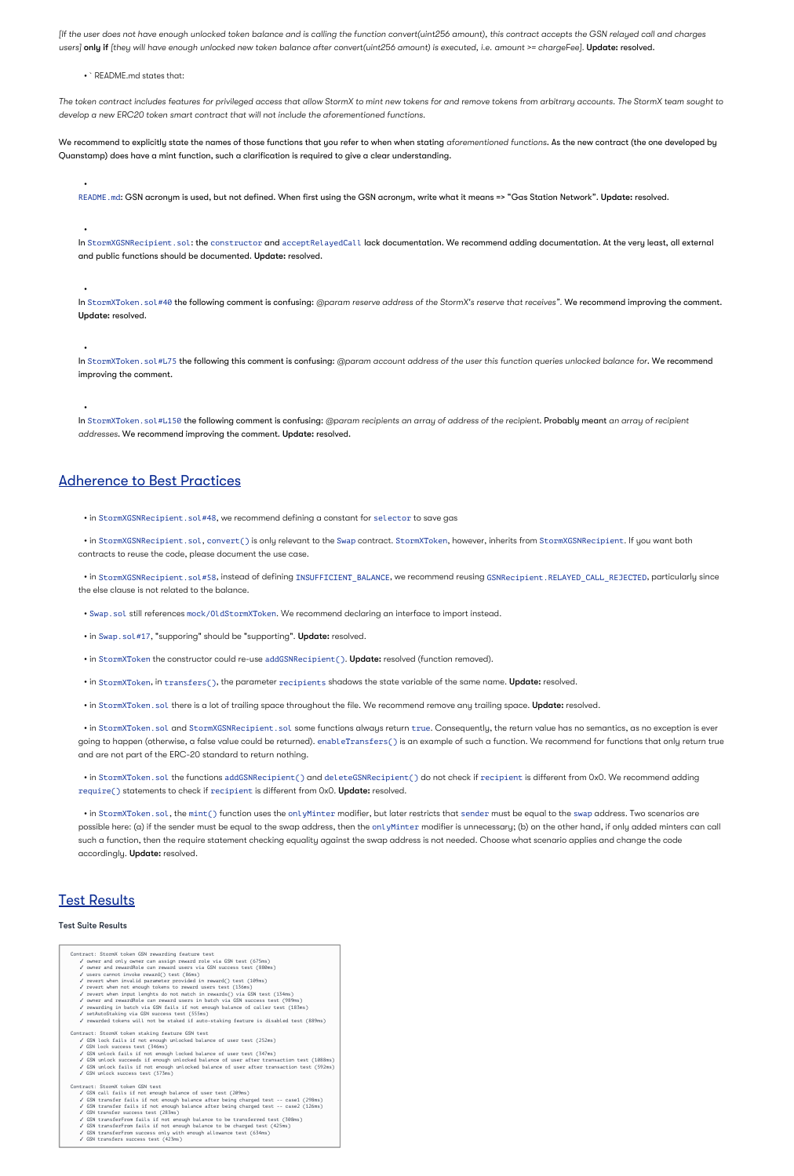users] **only if** [they will have enough unlocked new token balance after convert(uint256 amount) is executed, i.e. amount >= chargeFee]. **Update: resolved.** *[If the user does not have enough unlocked token balance and is calling the function convert(uint256 amount), this contract accepts the GSN relayed call and charges*

• `README.md states that:

We recommend to explicitly state the names of those functions that you refer to when when stating aforementioned functions**.** As the new contract (the one developed by Quanstamp) does have a mint function, such a clarification is required to give a clear understanding.

*The token contract includes features for privileged access that allow StormX to mint new tokens for and remove tokens from arbitrary accounts. The StormX team sought to develop a new ERC20 token smart contract that will not include the aforementioned functions.*

ln StormXToken.sol#L75 **the following this comment is confusing:** @param account address of the user this function queries unlocked balance for**. We recommend** improving the comment.

In StormXToken.sol#L150 **the following comment is confusing:** @param recipients an array of address of the recipient**. Probably meant** an array of recipient addresses. We recommend improving the comment. Update: resolved.

•

README.md: GSN acronym is used, but not defined. When first using the GSN acronym, write what it means => "Gas Station Network". Update: resolved.

In StormXGSNRecipient.sol: the constructor and acceptRelayedCall lack documentation. We recommend adding documentation. At the very least, all external and public functions should be documented**. Update:** resolved**.** 

In StormXToken.sol#40 **the following comment is confusing:** @param reserve address of the StormX's reserve that receives". W**e recommend improving the comment.** Update: resolved.

•

• in StormXGSNRecipient.sol, convert() is only relevant to the Swap contract. StormXToken, however, inherits from StormXGSNRecipient. If you want both contracts to reuse the code, please document the use case.

• in StormXGSNRecipient . sol#58, instead of defining INSUFFICIENT\_BALANCE, we recommend reusing GSNRecipient . RELAYED\_CALL\_REJECTED, particularly since the else clause is not related to the balance.

•

•

 $\bullet$  in StormXToken.sol and StormXGSNRecipient.sol some functions always return true. Consequently, the return value has no semantics, as no exception is ever going to happen (otherwise, a false value could be returned). enabl eTransfers() is an example of such a function. We recommend for functions that only return true and are not part of the ERC-20 standard to return nothing.

 $\bullet$  in StormXToken.sol the functions addGSNRecipient() and deleteGSNRecipient() do not check if recipient is different from 0x0. We recommend adding require() statements to check if recipient is different from 0x0. **Update:** resolved.

 $\bullet$  in StormXToken.sol, the mint() function uses the onlyMinter modifier, but later restricts that sender must be equal to the swap address. Two scenarios are possible here: (a) if the sender must be equal to the swap address, then the onl yMinter modifier is unnecessary; (b) on the other hand, if only added minters can call such a function, then the require statement checking equality against the swap address is not needed. Choose what scenario applies and change the code accordingly. **Update:** resolved.

•

## **Test Results**

## Adherence to Best Practices

• in StormXGSNRecipient.sol#48, we recommend defining a constant for selector to save gas

• Swap.sol still references mock/OldStormXToken. We recommend declaring an interface to import instead.

• in Swap.sol#17, "supporing" should be "supporting". Update: resolved.

• in StormXToken the constructor could re-use addGSNRecipient(). Update: resolved (function removed).

• in StormXToken, in transfers(), the parameter recipients shadows the state variable of the same name. Update: resolved.

• in StormXToken. sol there is a lot of trailing space throughout the file. We recommend remove any trailing space. Update: resolved.

#### Test Suite Results

Contract: StormX token GSN rewarding feature test ✓ owner and only owner can assign reward role via GSN test (675ms) ✓ owner and rewardRole can reward users via GSN success test (880ms) ✓ users cannot invoke reward() test (86ms) ✓ revert when invalid parameter provided in reward() test (109ms)  $\checkmark$  revert when not enough tokens to reward users test (136ms) ✓ revert when input lenghts do not match in rewards() via GSN test (134ms) ✓ owner and rewardRole can reward users in batch via GSN success test (989ms) ✓ rewarding in batch via GSN fails if not enough balance of caller test (183ms) ✓ setAutoStaking via GSN success test (555ms) ✓ rewarded tokens will not be staked if auto-staking feature is disabled test (889ms) Contract: StormX token staking feature GSN test ✓ GSN lock fails if not enough unlocked balance of user test (252ms) ✓ GSN lock success test (346ms) ✓ GSN unlock fails if not enough locked balance of user test (347ms) ✓ GSN unlock succeeds if enough unlocked balance of user after transaction test (1088ms) ✓ GSN unlock fails if not enough unlocked balance of user after transaction test (592ms) ✓ GSN unlock success test (573ms) Contract: StormX token GSN test ✓ GSN call fails if not enough balance of user test (209ms) ✓ GSN transfer fails if not enough balance after being charged test -- case1 (298ms) ✓ GSN transfer fails if not enough balance after being charged test -- case2 (126ms) ✓ GSN transfer success test (283ms) ✓ GSN transferFrom fails if not enough balance to be transferred test (308ms) ✓ GSN transferFrom fails if not enough balance to be charged test (425ms) ✓ GSN transferFrom success only with enough allowance test (634ms) ✓ GSN transfers success test (423ms)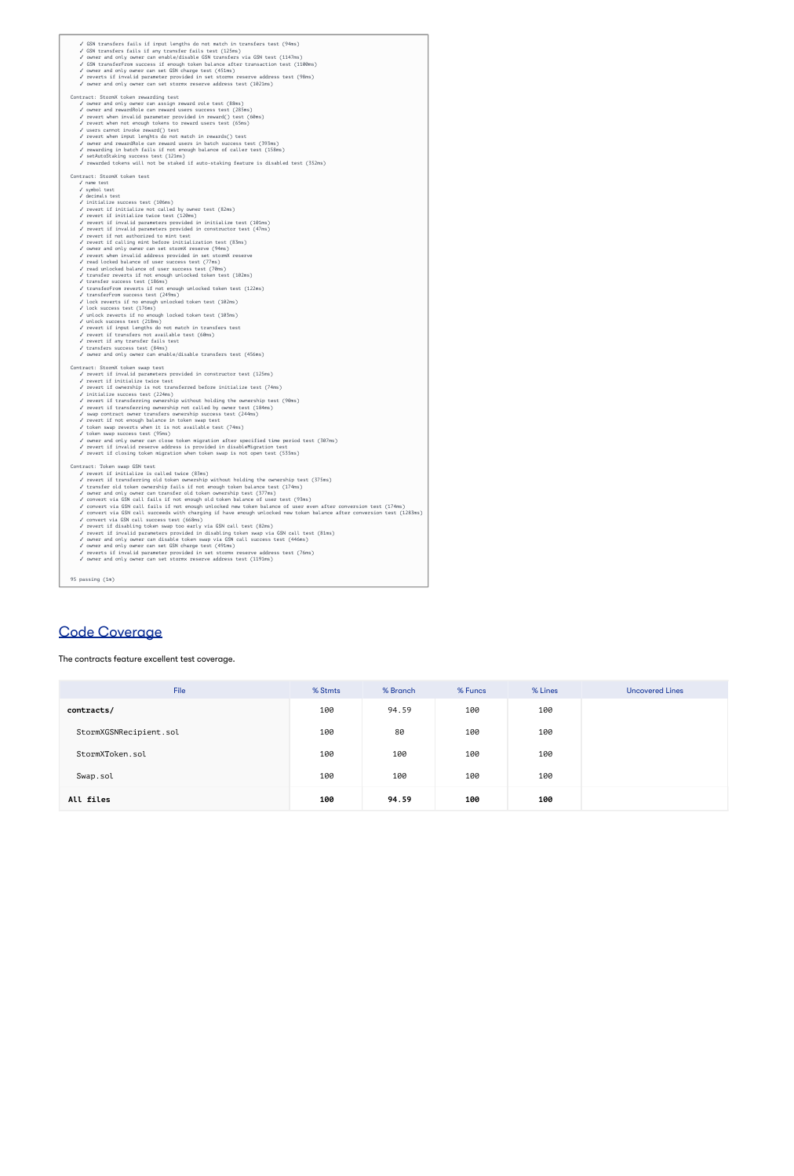✓ GSN transfers fails if input lengths do not match in transfers test (94ms) ✓ GSN transfers fails if any transfer fails test (125ms) ✓ owner and only owner can enable/disable GSN transfers via GSN test (1147ms) ✓ GSN transferFrom success if enough token balance after transaction test (1100ms) ✓ owner and only owner can set GSN charge test (451ms) ✓ reverts if invalid parameter provided in set stormx reserve address test (98ms) ✓ owner and only owner can set stormx reserve address test (1021ms) Contract: StormX token rewarding test ✓ owner and only owner can assign reward role test (88ms) ✓ owner and rewardRole can reward users success test (285ms) ✓ revert when invalid parameter provided in reward() test (60ms) ✓ revert when not enough tokens to reward users test (65ms) ✓ users cannot invoke reward() test ✓ revert when input lenghts do not match in rewards() test ✓ owner and rewardRole can reward users in batch success test (393ms) ✓ rewarding in batch fails if not enough balance of caller test (158ms) ✓ setAutoStaking success test (121ms) ✓ rewarded tokens will not be staked if auto-staking feature is disabled test (352ms) Contract: StormX token test ✓ name test ✓ symbol test ✓ decimals test ✓ initialize success test (106ms) ✓ revert if initialize not called by owner test (82ms) ✓ revert if initialize twice test (120ms) ✓ revert if invalid parameters provided in initialize test (101ms) ✓ revert if invalid parameters provided in constructor test (47ms) ✓ revert if not authorized to mint test ✓ revert if calling mint before initialization test (83ms) ✓ owner and only owner can set stormX reserve (94ms) ✓ revert when invalid address provided in set stormX reserve ✓ read locked balance of user success test (77ms) ✓ read unlocked balance of user success test (70ms) ✓ transfer reverts if not enough unlocked token test (102ms) ✓ transfer success test (186ms) ✓ transferFrom reverts if not enough unlocked token test (122ms) ✓ transferFrom success test (249ms) ✓ lock reverts if no enough unlocked token test (102ms) ✓ lock success test (176ms) ✓ unlock reverts if no enough locked token test (103ms) ✓ unlock success test (218ms) ✓ revert if input lengths do not match in transfers test ✓ revert if transfers not available test (60ms) ✓ revert if any transfer fails test ✓ transfers success test (84ms) ✓ owner and only owner can enable/disable transfers test (456ms) Contract: StormX token swap test ✓ revert if invalid parameters provided in constructor test (125ms) ✓ revert if initialize twice test ✓ revert if ownership is not transferred before initialize test (74ms) ✓ initialize success test (224ms) ✓ revert if transferring ownership without holding the ownership test (90ms) ✓ revert if transferring ownership not called by owner test (184ms) ✓ swap contract owner transfers ownership success test (244ms) ✓ revert if not enough balance in token swap test ✓ token swap reverts when it is not available test (74ms) ✓ token swap success test (95ms)

- ✓ owner and only owner can close token migration after specified time period test (307ms)
- ✓ revert if invalid reserve address is provided in disableMigration test
- ✓ revert if closing token migration when token swap is not open test (535ms)

#### Contract: Token swap GSN test

- ✓ revert if initialize is called twice (83ms)
- ✓ revert if transferring old token ownership without holding the ownership test (375ms)
- ✓ transfer old token ownership fails if not enough token balance test (174ms)
- ✓ owner and only owner can transfer old token ownership test (377ms)
- ✓ convert via GSN call fails if not enough old token balance of user test (93ms)
- ✓ convert via GSN call fails if not enough unlocked new token balance of user even after conversion test (174ms)
- ✓ convert via GSN call succeeds with charging if have enough unlocked new token balance after conversion test (1283ms)
- ✓ convert via GSN call success test (668ms)
- ✓ revert if disabling token swap too early via GSN call test (82ms)
- ✓ revert if invalid parameters provided in disabling token swap via GSN call test (81ms)
- ✓ owner and only owner can disable token swap via GSN call success test (446ms)
- ✓ owner and only owner can set GSN charge test (491ms)
- ✓ reverts if invalid parameter provided in set stormx reserve address test (76ms)
- ✓ owner and only owner can set stormx reserve address test (1191ms)

95 passing (1m)

# Code Coverage

The contracts feature excellent test coverage.

| <b>File</b>            | % Stmts | % Branch | % Funcs | % Lines | <b>Uncovered Lines</b> |
|------------------------|---------|----------|---------|---------|------------------------|
| contracts/             | 100     | 94.59    | 100     | 100     |                        |
| StormXGSNRecipient.sol | 100     | 80       | 100     | 100     |                        |
| StormXToken.sol        | 100     | 100      | 100     | 100     |                        |
| Swap.sol               | 100     | 100      | 100     | 100     |                        |
| All files              | 100     | 94.59    | 100     | 100     |                        |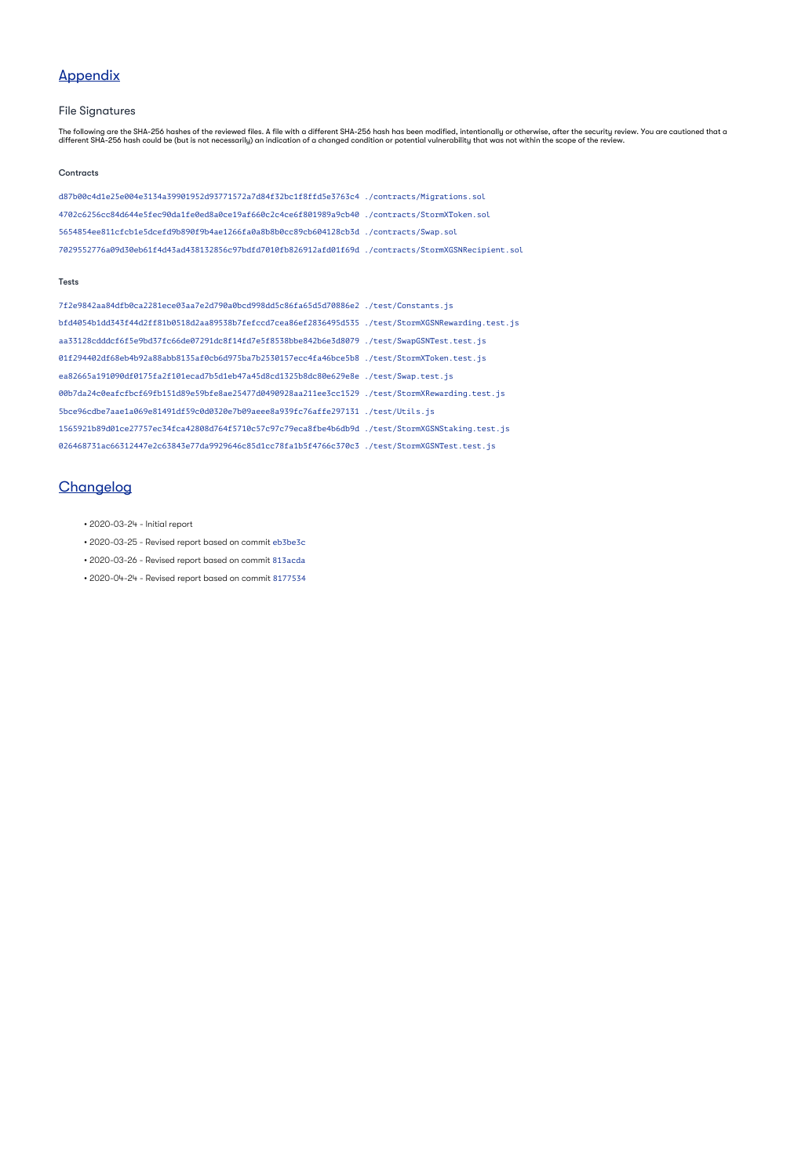# Appendix

### File Signatures

The following are the SHA-256 hashes of the reviewed files. A file with a different SHA-256 hash has been modified, intentionally or otherwise, after the security review. You are cautioned that a different SHA-256 hash could be (but is not necessarily) an indication of a changed condition or potential vulnerability that was not within the scope of the review.

#### **Contracts**

d87b00c4d1e25e004e3134a39901952d93771572a7d84f32bc1f8ffd5e3763c4 ./contracts/Migrations.sol 4702c6256cc84d644e5fec90da1fe0ed8a0ce19af660c2c4ce6f801989a9cb40 ./contracts/StormXToken.sol 5654854ee811cfcb1e5dcefd9b890f9b4ae1266fa0a8b8b0cc89cb604128cb3d ./contracts/Swap.sol 7029552776a09d30eb61f4d43ad438132856c97bdfd7010fb826912afd01f69d ./contracts/StormXGSNRecipient.sol

#### **Tests**

7f2e9842aa84dfb0ca2281ece03aa7e2d790a0bcd998dd5c86fa65d5d70886e2 ./test/Constants.js bfd4054b1dd343f44d2ff81b0518d2aa89538b7fefccd7cea86ef2836495d535 ./test/StormXGSNRewarding.test.js aa33128cdddcf6f5e9bd37fc66de07291dc8f14fd7e5f8538bbe842b6e3d8079 ./test/SwapGSNTest.test.js 01f294402df68eb4b92a88abb8135af0cb6d975ba7b2530157ecc4fa46bce5b8 ./test/StormXToken.test.js ea82665a191090df0175fa2f101ecad7b5d1eb47a45d8cd1325b8dc80e629e8e ./test/Swap.test.js 00b7da24c0eafcfbcf69fb151d89e59bfe8ae25477d0490928aa211ee3cc1529 ./test/StormXRewarding.test.js 5bce96cdbe7aae1a069e81491df59c0d0320e7b09aeee8a939fc76affe297131 ./test/Utils.js 1565921b89d01ce27757ec34fca42808d764f5710c57c97c79eca8fbe4b6db9d ./test/StormXGSNStaking.test.js

# **Changelog**

- 2020-03-24 Initial report
- 2020-03-25 Revised report based on commit eb3be3c
- 2020-03-26 Revised report based on commit 813acda
- 2020-04-24 Revised report based on commit 8177534